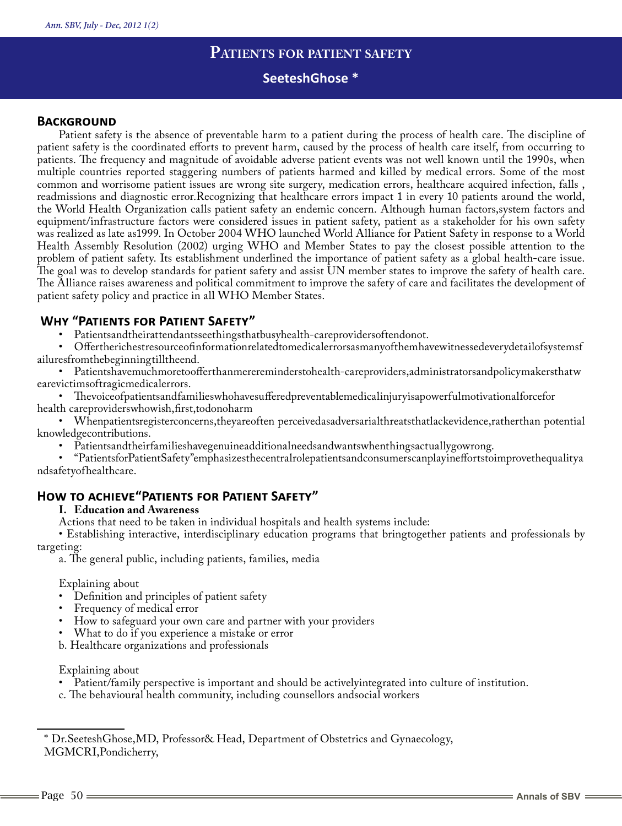# **Patients for patient safety**

# **SeeteshGhose \***

### **BACKGROUND**

Patient safety is the absence of preventable harm to a patient during the process of health care. The discipline of patient safety is the coordinated efforts to prevent harm, caused by the process of health care itself, from occurring to patients. The frequency and magnitude of avoidable adverse patient events was not well known until the 1990s, when multiple countries reported staggering numbers of patients harmed and killed by medical errors. Some of the most common and worrisome patient issues are wrong site surgery, medication errors, healthcare acquired infection, falls , readmissions and diagnostic error.Recognizing that healthcare errors impact 1 in every 10 patients around the world, the World Health Organization calls patient safety an endemic concern. Although human factors,system factors and equipment/infrastructure factors were considered issues in patient safety, patient as a stakeholder for his own safety was realized as late as1999. In October 2004 WHO launched World Alliance for Patient Safety in response to a World Health Assembly Resolution (2002) urging WHO and Member States to pay the closest possible attention to the problem of patient safety. Its establishment underlined the importance of patient safety as a global health-care issue. The goal was to develop standards for patient safety and assist UN member states to improve the safety of health care. The Alliance raises awareness and political commitment to improve the safety of care and facilitates the development of patient safety policy and practice in all WHO Member States.

# **Why "Patients for Patient Safety"**

Patientsandtheirattendantsseethingsthatbusyhealth-careprovidersoftendonot.

• Offertherichestresourceofinformationrelatedtomedicalerrorsasmanyofthemhavewitnessedeverydetailofsystemsf ailuresfromthebeginningtilltheend.

• Patientshavemuchmoretoofferthanmerereminderstohealth-careproviders,administratorsandpolicymakersthatw earevictimsoftragicmedicalerrors.

• Thevoiceofpatientsandfamilieswhohavesufferedpreventablemedicalinjuryisapowerfulmotivationalforcefor health careproviderswhowish,first,todonoharm

• Whenpatientsregisterconcerns,theyareoften perceivedasadversarialthreatsthatlackevidence,ratherthan potential knowledgecontributions.

Patientsandtheirfamilieshavegenuineadditionalneedsandwantswhenthingsactuallygowrong.

• "PatientsforPatientSafety"emphasizesthecentralrolepatientsandconsumerscanplayineffortstoimprovethequalitya ndsafetyofhealthcare.

# **How to achieve"Patients for Patient Safety"**

#### **I. Education and Awareness**

Actions that need to be taken in individual hospitals and health systems include:

• Establishing interactive, interdisciplinary education programs that bringtogether patients and professionals by targeting:

a. The general public, including patients, families, media

Explaining about

- • Definition and principles of patient safety
- Frequency of medical error
- How to safeguard your own care and partner with your providers
- What to do if you experience a mistake or error
- b. Healthcare organizations and professionals

#### Explaining about

- Patient/family perspective is important and should be activelyintegrated into culture of institution.
- c. The behavioural health community, including counsellors andsocial workers

<sup>\*</sup> Dr.SeeteshGhose,MD, Professor& Head, Department of Obstetrics and Gynaecology, MGMCRI,Pondicherry,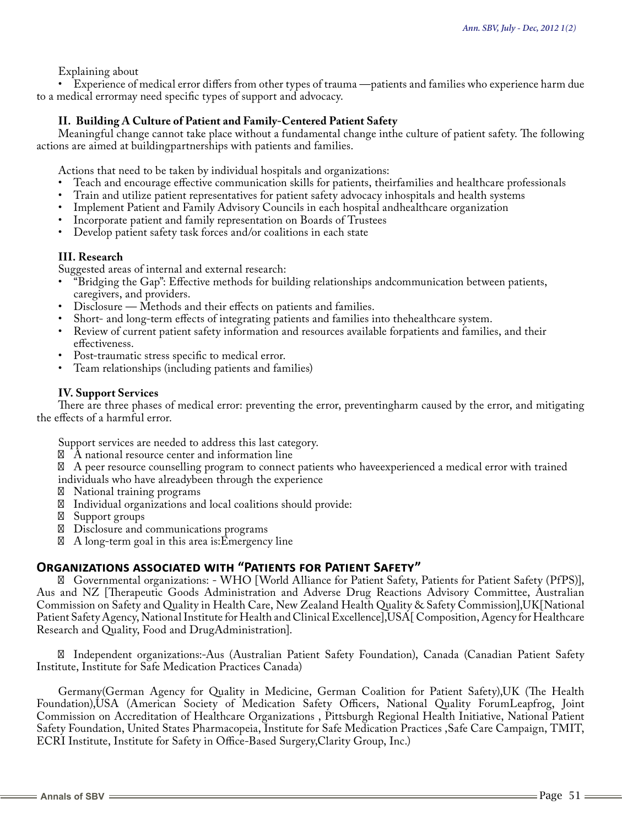### Explaining about

• Experience of medical error differs from other types of trauma —patients and families who experience harm due to a medical errormay need specific types of support and advocacy.

### **II. Building A Culture of Patient and Family-Centered Patient Safety**

Meaningful change cannot take place without a fundamental change inthe culture of patient safety. The following actions are aimed at buildingpartnerships with patients and families.

Actions that need to be taken by individual hospitals and organizations:

- • Teach and encourage effective communication skills for patients, theirfamilies and healthcare professionals
- Train and utilize patient representatives for patient safety advocacy inhospitals and health systems
- Implement Patient and Family Advisory Councils in each hospital andhealthcare organization
- Incorporate patient and family representation on Boards of Trustees
- Develop patient safety task forces and/or coalitions in each state

### **III. Research**

Suggested areas of internal and external research:

- • "Bridging the Gap": Effective methods for building relationships andcommunication between patients, caregivers, and providers.
- Disclosure Methods and their effects on patients and families.
- Short- and long-term effects of integrating patients and families into thehealthcare system.
- Review of current patient safety information and resources available forpatients and families, and their effectiveness.
- Post-traumatic stress specific to medical error.
- Team relationships (including patients and families)

#### **IV. Support Services**

There are three phases of medical error: preventing the error, preventingharm caused by the error, and mitigating the effects of a harmful error.

Support services are needed to address this last category.

A national resource center and information line

 A peer resource counselling program to connect patients who haveexperienced a medical error with trained individuals who have alreadybeen through the experience

National training programs

Individual organizations and local coalitions should provide:

Support groups

Disclosure and communications programs

A long-term goal in this area is:Emergency line

# **Organizations associated with "Patients for Patient Safety"**

 Governmental organizations: - WHO [World Alliance for Patient Safety, Patients for Patient Safety (PfPS)], Aus and NZ [Therapeutic Goods Administration and Adverse Drug Reactions Advisory Committee, Australian Commission on Safety and Quality in Health Care, New Zealand Health Quality & Safety Commission],UK[National Patient Safety Agency, National Institute for Health and Clinical Excellence],USA[ Composition, Agency for Healthcare Research and Quality, Food and DrugAdministration].

 Independent organizations:-Aus (Australian Patient Safety Foundation), Canada (Canadian Patient Safety Institute, Institute for Safe Medication Practices Canada)

Germany(German Agency for Quality in Medicine, German Coalition for Patient Safety),UK (The Health Foundation),USA (American Society of Medication Safety Officers, National Quality ForumLeapfrog, Joint Commission on Accreditation of Healthcare Organizations , Pittsburgh Regional Health Initiative, National Patient Safety Foundation, United States Pharmacopeia, Institute for Safe Medication Practices ,Safe Care Campaign, TMIT, ECRI Institute, Institute for Safety in Office-Based Surgery,Clarity Group, Inc.)